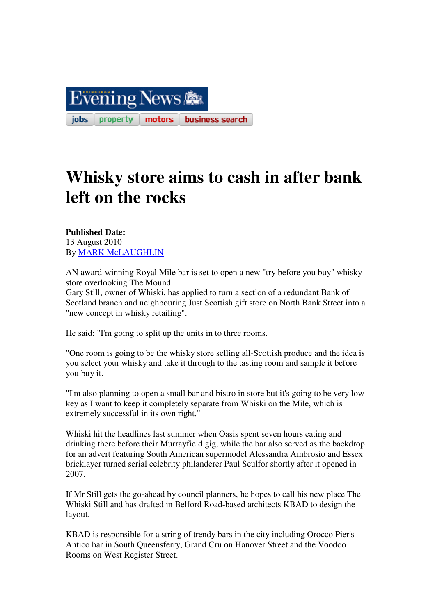

## **Whisky store aims to cash in after bank left on the rocks**

## **Published Date:**  13 August 2010 By MARK McLAUGHLIN

AN award-winning Royal Mile bar is set to open a new "try before you buy" whisky store overlooking The Mound.

Gary Still, owner of Whiski, has applied to turn a section of a redundant Bank of Scotland branch and neighbouring Just Scottish gift store on North Bank Street into a "new concept in whisky retailing".

He said: "I'm going to split up the units in to three rooms.

"One room is going to be the whisky store selling all-Scottish produce and the idea is you select your whisky and take it through to the tasting room and sample it before you buy it.

"I'm also planning to open a small bar and bistro in store but it's going to be very low key as I want to keep it completely separate from Whiski on the Mile, which is extremely successful in its own right."

Whiski hit the headlines last summer when Oasis spent seven hours eating and drinking there before their Murrayfield gig, while the bar also served as the backdrop for an advert featuring South American supermodel Alessandra Ambrosio and Essex bricklayer turned serial celebrity philanderer Paul Sculfor shortly after it opened in 2007.

If Mr Still gets the go-ahead by council planners, he hopes to call his new place The Whiski Still and has drafted in Belford Road-based architects KBAD to design the layout.

KBAD is responsible for a string of trendy bars in the city including Orocco Pier's Antico bar in South Queensferry, Grand Cru on Hanover Street and the Voodoo Rooms on West Register Street.